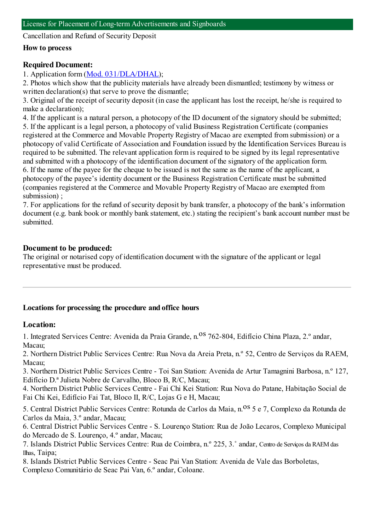Cancellation and Refund of Security Deposit

#### **How to process**

### **Required Document:**

1. Application form(Mod. [031/DLA/DHAL](https://www.iam.gov.mo/c/pdf/eformDetail/PDF1049));

2. Photos which show that the publicity materials have already been dismantled; testimony by witness or written declaration(s) that serve to prove the dismantle;

3. Original of the receipt of security deposit (in case the applicant has lost the receipt, he/she is required to make a declaration);

4. If the applicant is a natural person, a photocopy of the ID document of the signatory should be submitted;

5. If the applicant is a legal person, a photocopy of valid Business Registration Certificate (companies registered at the Commerce and Movable Property Registry of Macao are exempted fromsubmission) or a photocopy of valid Certificate of Association and Foundation issued by the Identification Services Bureau is required to be submitted. The relevant application formis required to be signed by its legal representative and submitted with a photocopy of the identification document of the signatory of the application form. 6. If the name of the payee for the cheque to be issued is not the same as the name of the applicant, a photocopy of the payee's identity document or the Business Registration Certificate must be submitted (companies registered at the Commerce and Movable Property Registry of Macao are exempted from submission) ;

7. For applications for the refund of security deposit by bank transfer, a photocopy of the bank's information document (e.g. bank book or monthly bank statement, etc.) stating the recipient's bank account number must be submitted.

### **Document to be produced:**

The original or notarised copy of identification document with the signature of the applicant or legal representative must be produced.

### **Locations for processing the procedure and office hours**

### **Location:**

1. Integrated Services Centre: Avenida da Praia Grande, n.<sup>08</sup> 762-804, Edifício China Plaza, 2.º andar, Macau;

2. Northern District Public Services Centre: Rua Nova da Areia Preta, n.º 52, Centro de Serviços da RAEM, Macau;

3. Northern District Public Services Centre - Toi San Station: Avenida de Artur Tamagnini Barbosa, n.º 127, Edifício D.ª Julieta Nobre de Carvalho, Bloco B, R/C, Macau;

4. Northern District Public Services Centre - Fai Chi Kei Station: Rua Nova do Patane, Habitação Social de Fai Chi Kei, Edifício Fai Tat, Bloco II, R/C, Lojas G e H, Macau;

5. Central District Public Services Centre: Rotunda de Carlos da Maia, n.<sup>0S</sup> 5 e 7, Complexo da Rotunda de Carlos da Maia, 3.º andar, Macau;

6. Central District Public Services Centre - S. Lourenço Station: Rua de João Lecaros, Complexo Municipal do Mercado de S. Lourenço, 4.º andar, Macau;

7. Islands District Public Services Centre: Rua de Coimbra, n.º 225, 3.˚ andar, Centro de Serviços da RAEMdas Ilhas, Taipa;

8. Islands District Public Services Centre - Seac Pai Van Station: Avenida de Vale das Borboletas, Complexo Comunitário de Seac Pai Van, 6.º andar, Coloane.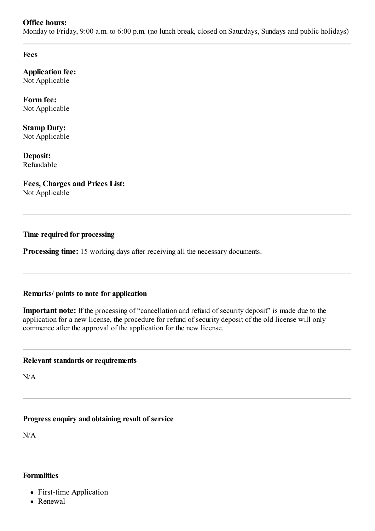### **Office hours:**

Monday to Friday, 9:00 a.m. to 6:00 p.m. (no lunch break, closed on Saturdays, Sundays and public holidays)

**Fees**

**Application fee:** Not Applicable

**Form fee:** Not Applicable

**Stamp Duty:** Not Applicable

**Deposit:** Refundable

# **Fees, Charges and Prices List:**

Not Applicable

# **Time required for processing**

**Processing time:** 15 working days after receiving all the necessary documents.

## **Remarks/ points to note for application**

**Important note:** If the processing of "cancellation and refund of security deposit" is made due to the application for a new license, the procedure for refund of security deposit of the old license will only commence after the approval of the application for the new license.

### **Relevant standards or requirements**

N/A

# **Progress enquiry and obtaining result of service**

N/A

## **Formalities**

- First-time Application
- Renewal